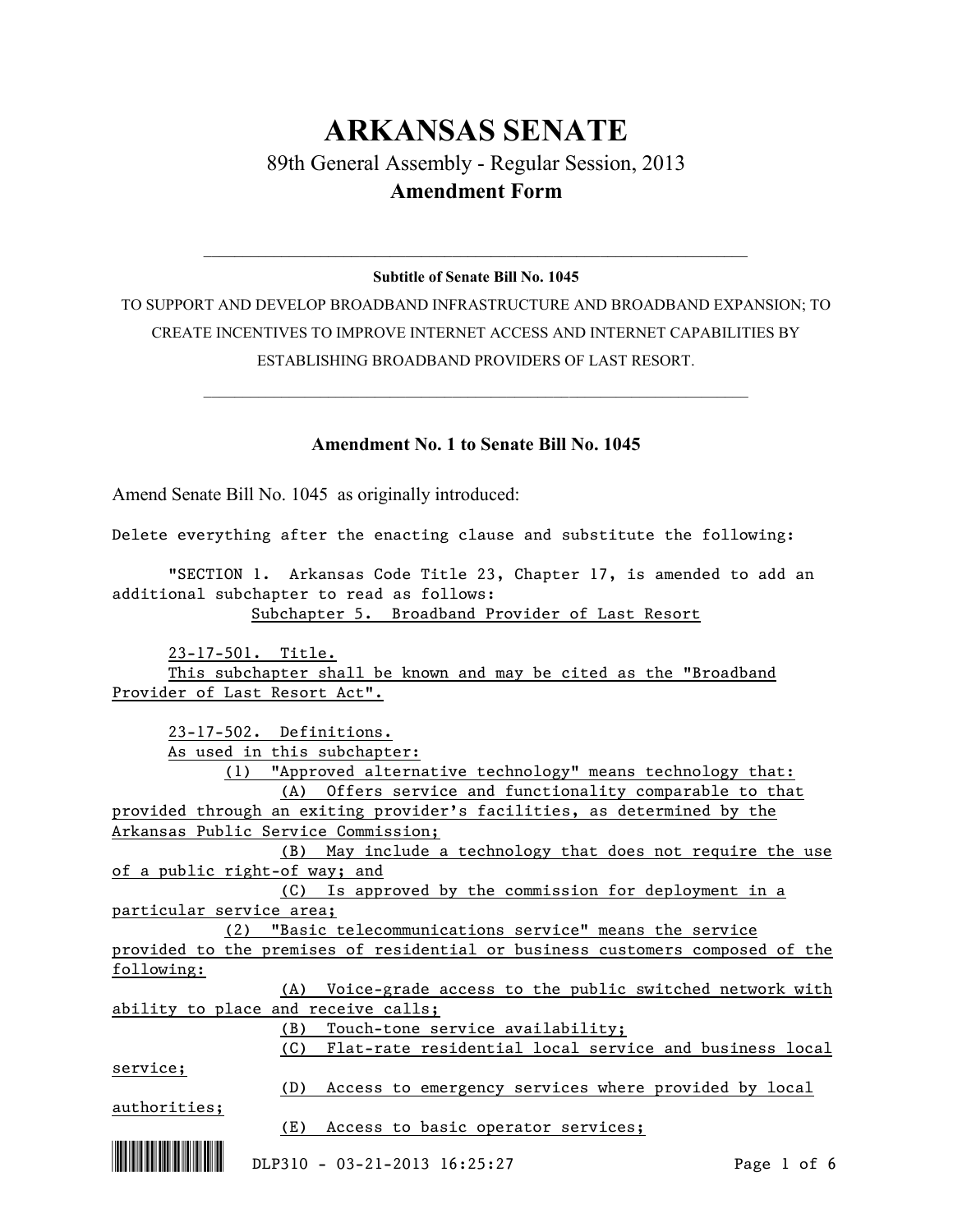## **ARKANSAS SENATE** 89th General Assembly - Regular Session, 2013 **Amendment Form**

## $\mathcal{L}_\mathcal{L} = \mathcal{L}_\mathcal{L} = \mathcal{L}_\mathcal{L} = \mathcal{L}_\mathcal{L} = \mathcal{L}_\mathcal{L} = \mathcal{L}_\mathcal{L} = \mathcal{L}_\mathcal{L} = \mathcal{L}_\mathcal{L} = \mathcal{L}_\mathcal{L} = \mathcal{L}_\mathcal{L} = \mathcal{L}_\mathcal{L} = \mathcal{L}_\mathcal{L} = \mathcal{L}_\mathcal{L} = \mathcal{L}_\mathcal{L} = \mathcal{L}_\mathcal{L} = \mathcal{L}_\mathcal{L} = \mathcal{L}_\mathcal{L}$ **Subtitle of Senate Bill No. 1045**

TO SUPPORT AND DEVELOP BROADBAND INFRASTRUCTURE AND BROADBAND EXPANSION; TO CREATE INCENTIVES TO IMPROVE INTERNET ACCESS AND INTERNET CAPABILITIES BY ESTABLISHING BROADBAND PROVIDERS OF LAST RESORT.

 $\mathcal{L}_\mathcal{L} = \mathcal{L}_\mathcal{L} = \mathcal{L}_\mathcal{L} = \mathcal{L}_\mathcal{L} = \mathcal{L}_\mathcal{L} = \mathcal{L}_\mathcal{L} = \mathcal{L}_\mathcal{L} = \mathcal{L}_\mathcal{L} = \mathcal{L}_\mathcal{L} = \mathcal{L}_\mathcal{L} = \mathcal{L}_\mathcal{L} = \mathcal{L}_\mathcal{L} = \mathcal{L}_\mathcal{L} = \mathcal{L}_\mathcal{L} = \mathcal{L}_\mathcal{L} = \mathcal{L}_\mathcal{L} = \mathcal{L}_\mathcal{L}$ 

## **Amendment No. 1 to Senate Bill No. 1045**

Amend Senate Bill No. 1045 as originally introduced:

Delete everything after the enacting clause and substitute the following:

"SECTION 1. Arkansas Code Title 23, Chapter 17, is amended to add an additional subchapter to read as follows: Subchapter 5. Broadband Provider of Last Resort

23-17-501. Title. This subchapter shall be known and may be cited as the "Broadband

Provider of Last Resort Act".

23-17-502. Definitions.

As used in this subchapter:

(1) "Approved alternative technology" means technology that: (A) Offers service and functionality comparable to that

provided through an exiting provider's facilities, as determined by the Arkansas Public Service Commission;

(B) May include a technology that does not require the use of a public right-of way; and

(C) Is approved by the commission for deployment in a particular service area;

(2) "Basic telecommunications service" means the service

provided to the premises of residential or business customers composed of the following:

(A) Voice-grade access to the public switched network with ability to place and receive calls;

(B) Touch-tone service availability; (C) Flat-rate residential local service and business local service; (D) Access to emergency services where provided by local authorities; (E) Access to basic operator services;

\*.DLP310\* DLP310 - 03-21-2013 16:25:27 Page 1 of 6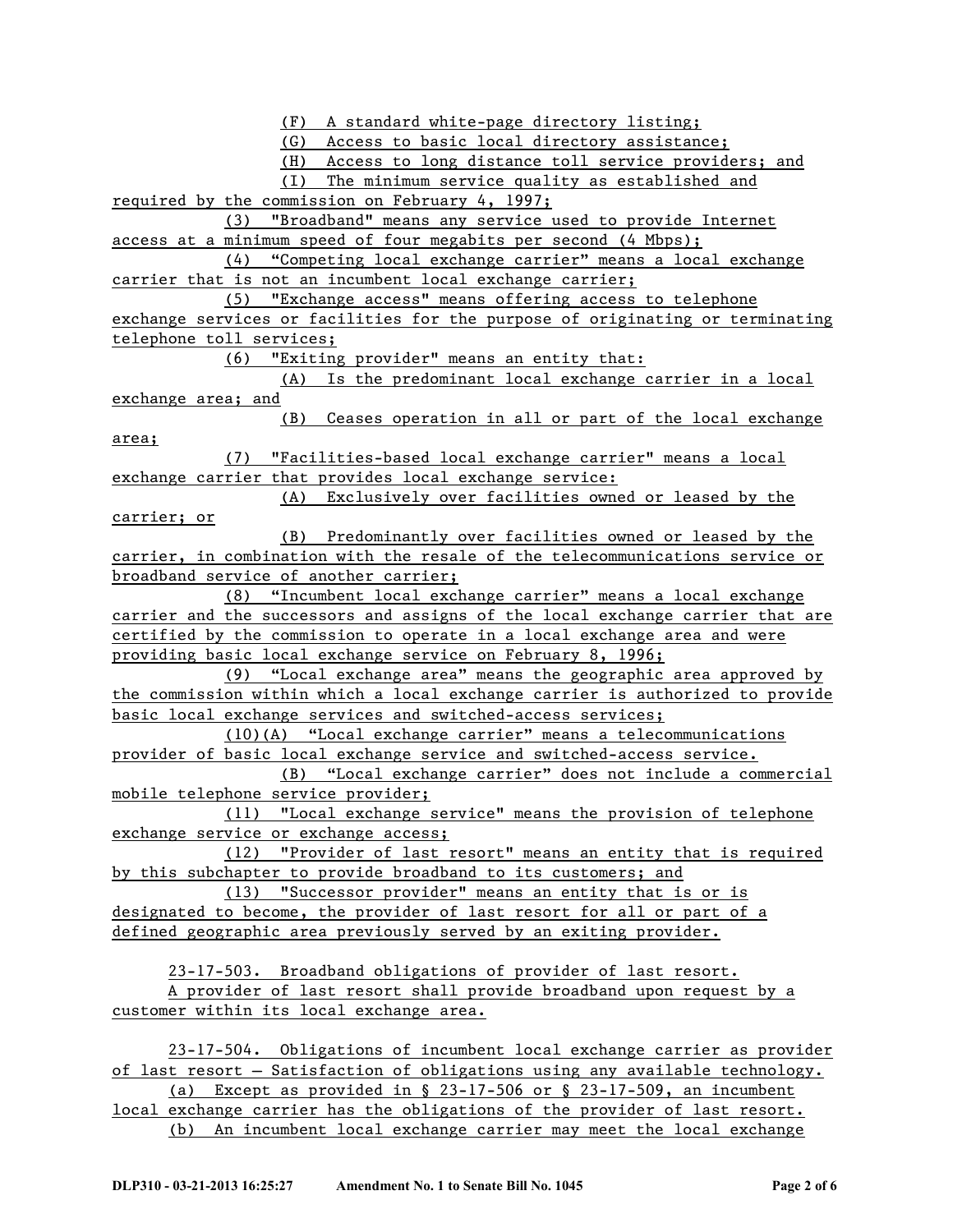(F) A standard white-page directory listing;

(G) Access to basic local directory assistance;

(H) Access to long distance toll service providers; and

(I) The minimum service quality as established and

required by the commission on February 4, 1997;

(3) "Broadband" means any service used to provide Internet access at a minimum speed of four megabits per second (4 Mbps);

(4) "Competing local exchange carrier" means a local exchange carrier that is not an incumbent local exchange carrier;

(5) "Exchange access" means offering access to telephone exchange services or facilities for the purpose of originating or terminating telephone toll services;

(6) "Exiting provider" means an entity that:

(A) Is the predominant local exchange carrier in a local exchange area; and

(B) Ceases operation in all or part of the local exchange area;

(7) "Facilities-based local exchange carrier" means a local exchange carrier that provides local exchange service:

(A) Exclusively over facilities owned or leased by the carrier; or

(B) Predominantly over facilities owned or leased by the carrier, in combination with the resale of the telecommunications service or broadband service of another carrier;

(8) "Incumbent local exchange carrier" means a local exchange carrier and the successors and assigns of the local exchange carrier that are certified by the commission to operate in a local exchange area and were providing basic local exchange service on February 8, 1996;

(9) "Local exchange area" means the geographic area approved by the commission within which a local exchange carrier is authorized to provide basic local exchange services and switched-access services;

(10)(A) "Local exchange carrier" means a telecommunications provider of basic local exchange service and switched-access service.

(B) "Local exchange carrier" does not include a commercial mobile telephone service provider;

(11) "Local exchange service" means the provision of telephone exchange service or exchange access;

(12) "Provider of last resort" means an entity that is required by this subchapter to provide broadband to its customers; and

(13) "Successor provider" means an entity that is or is designated to become, the provider of last resort for all or part of a defined geographic area previously served by an exiting provider.

23-17-503. Broadband obligations of provider of last resort. A provider of last resort shall provide broadband upon request by a customer within its local exchange area.

23-17-504. Obligations of incumbent local exchange carrier as provider of last resort — Satisfaction of obligations using any available technology.

(a) Except as provided in § 23-17-506 or § 23-17-509, an incumbent local exchange carrier has the obligations of the provider of last resort.

(b) An incumbent local exchange carrier may meet the local exchange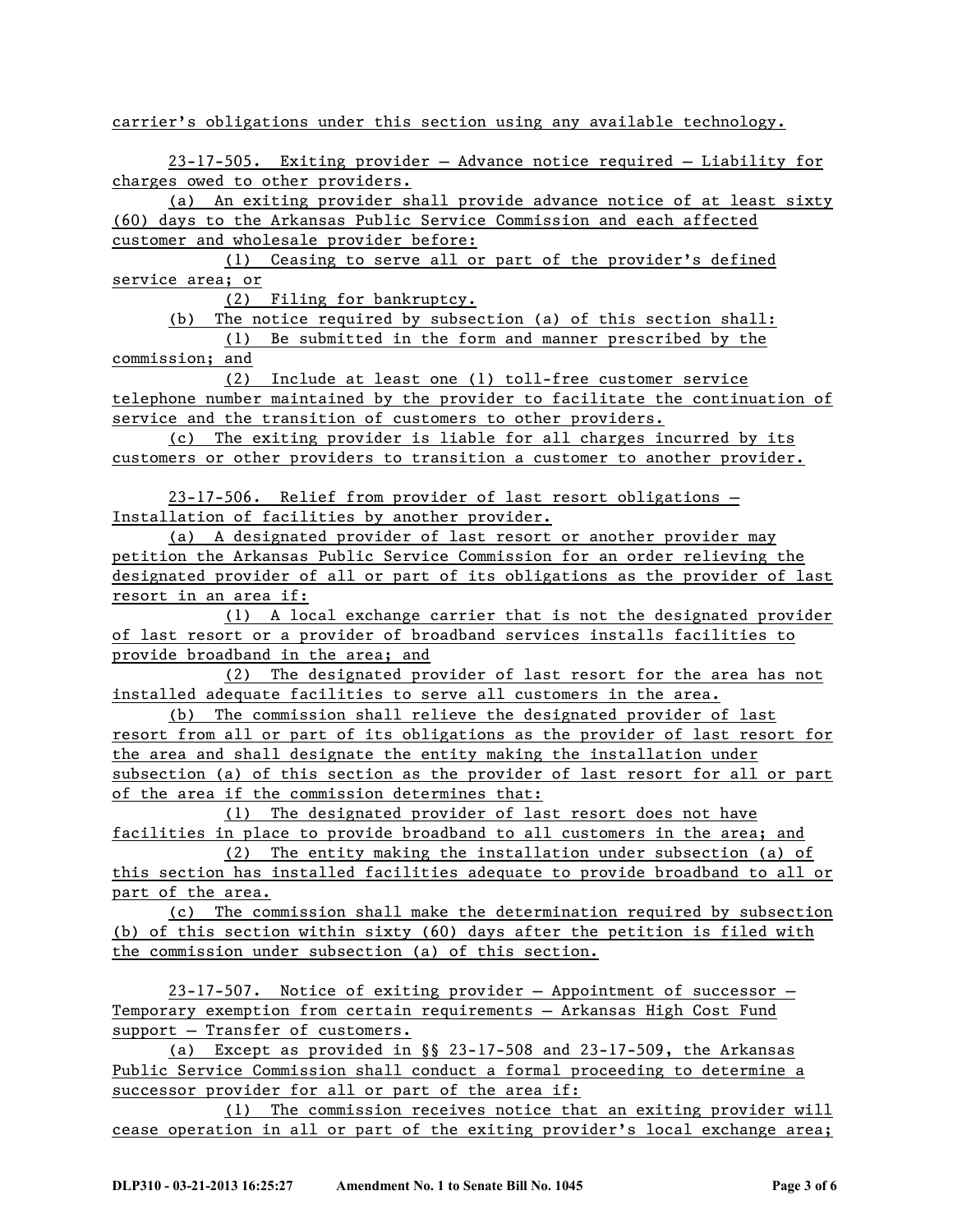carrier's obligations under this section using any available technology.

23-17-505. Exiting provider — Advance notice required — Liability for charges owed to other providers.

(a) An exiting provider shall provide advance notice of at least sixty (60) days to the Arkansas Public Service Commission and each affected customer and wholesale provider before:

(1) Ceasing to serve all or part of the provider's defined service area; or

(2) Filing for bankruptcy.

(b) The notice required by subsection (a) of this section shall:

(1) Be submitted in the form and manner prescribed by the commission; and

(2) Include at least one (1) toll-free customer service telephone number maintained by the provider to facilitate the continuation of service and the transition of customers to other providers.

(c) The exiting provider is liable for all charges incurred by its customers or other providers to transition a customer to another provider.

23-17-506. Relief from provider of last resort obligations — Installation of facilities by another provider.

(a) A designated provider of last resort or another provider may petition the Arkansas Public Service Commission for an order relieving the designated provider of all or part of its obligations as the provider of last resort in an area if:

(1) A local exchange carrier that is not the designated provider of last resort or a provider of broadband services installs facilities to provide broadband in the area; and

(2) The designated provider of last resort for the area has not installed adequate facilities to serve all customers in the area.

(b) The commission shall relieve the designated provider of last resort from all or part of its obligations as the provider of last resort for the area and shall designate the entity making the installation under subsection (a) of this section as the provider of last resort for all or part of the area if the commission determines that:

(1) The designated provider of last resort does not have facilities in place to provide broadband to all customers in the area; and

(2) The entity making the installation under subsection (a) of this section has installed facilities adequate to provide broadband to all or part of the area.

(c) The commission shall make the determination required by subsection (b) of this section within sixty (60) days after the petition is filed with the commission under subsection (a) of this section.

23-17-507. Notice of exiting provider — Appointment of successor — Temporary exemption from certain requirements — Arkansas High Cost Fund support — Transfer of customers.

(a) Except as provided in §§ 23-17-508 and 23-17-509, the Arkansas Public Service Commission shall conduct a formal proceeding to determine a successor provider for all or part of the area if:

(1) The commission receives notice that an exiting provider will cease operation in all or part of the exiting provider's local exchange area;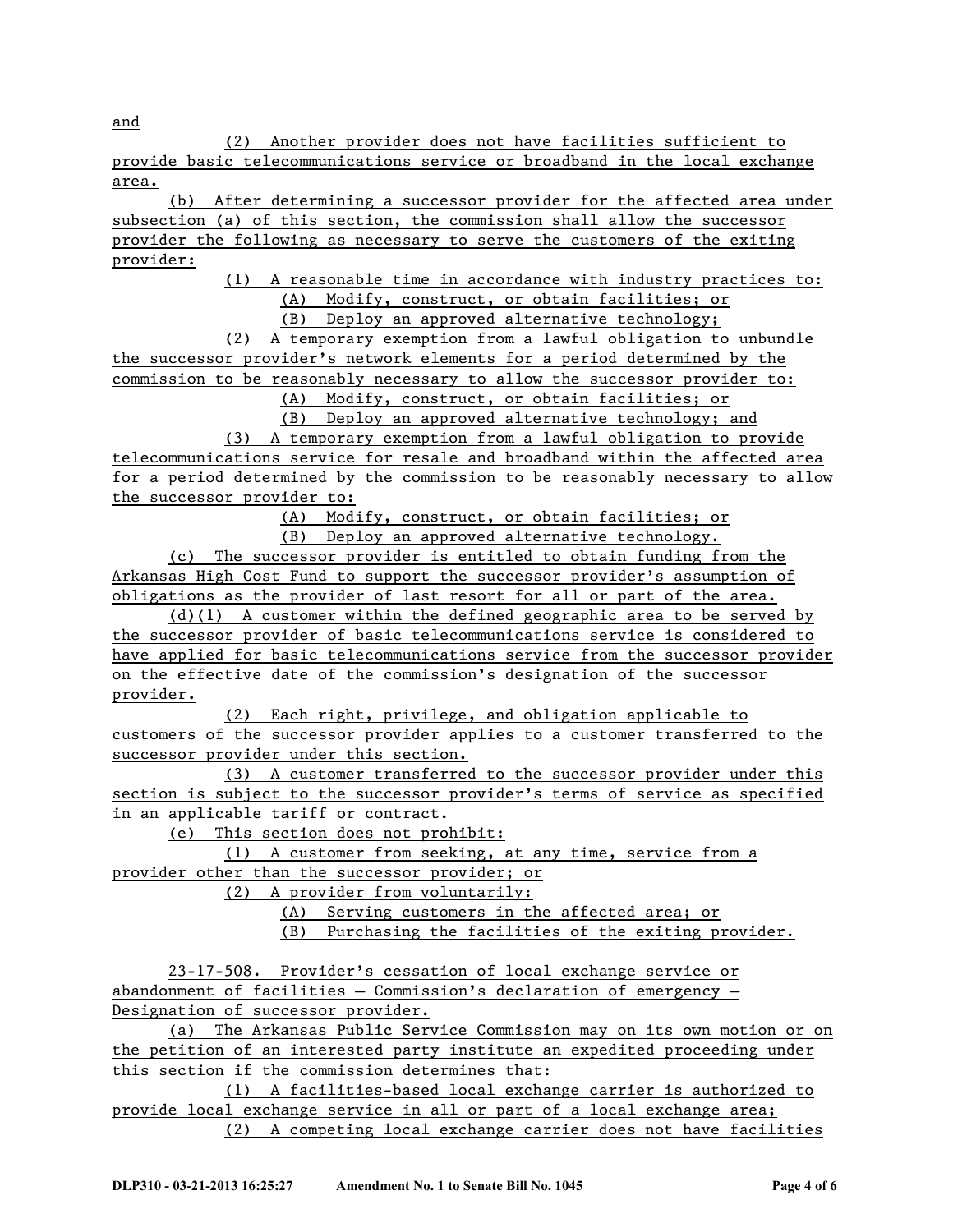and

(2) Another provider does not have facilities sufficient to provide basic telecommunications service or broadband in the local exchange area.

(b) After determining a successor provider for the affected area under subsection (a) of this section, the commission shall allow the successor provider the following as necessary to serve the customers of the exiting provider:

> (1) A reasonable time in accordance with industry practices to: (A) Modify, construct, or obtain facilities; or

(B) Deploy an approved alternative technology;

(2) A temporary exemption from a lawful obligation to unbundle the successor provider's network elements for a period determined by the commission to be reasonably necessary to allow the successor provider to:

(A) Modify, construct, or obtain facilities; or

(B) Deploy an approved alternative technology; and

(3) A temporary exemption from a lawful obligation to provide

telecommunications service for resale and broadband within the affected area for a period determined by the commission to be reasonably necessary to allow the successor provider to:

(A) Modify, construct, or obtain facilities; or

(B) Deploy an approved alternative technology.

(c) The successor provider is entitled to obtain funding from the Arkansas High Cost Fund to support the successor provider's assumption of obligations as the provider of last resort for all or part of the area.

(d)(1) A customer within the defined geographic area to be served by the successor provider of basic telecommunications service is considered to have applied for basic telecommunications service from the successor provider on the effective date of the commission's designation of the successor provider.

(2) Each right, privilege, and obligation applicable to customers of the successor provider applies to a customer transferred to the successor provider under this section.

(3) A customer transferred to the successor provider under this section is subject to the successor provider's terms of service as specified in an applicable tariff or contract.

(e) This section does not prohibit:

(1) A customer from seeking, at any time, service from a provider other than the successor provider; or

(2) A provider from voluntarily:

(A) Serving customers in the affected area; or

(B) Purchasing the facilities of the exiting provider.

23-17-508. Provider's cessation of local exchange service or abandonment of facilities — Commission's declaration of emergency — Designation of successor provider.

(a) The Arkansas Public Service Commission may on its own motion or on the petition of an interested party institute an expedited proceeding under this section if the commission determines that:

(1) A facilities-based local exchange carrier is authorized to provide local exchange service in all or part of a local exchange area; (2) A competing local exchange carrier does not have facilities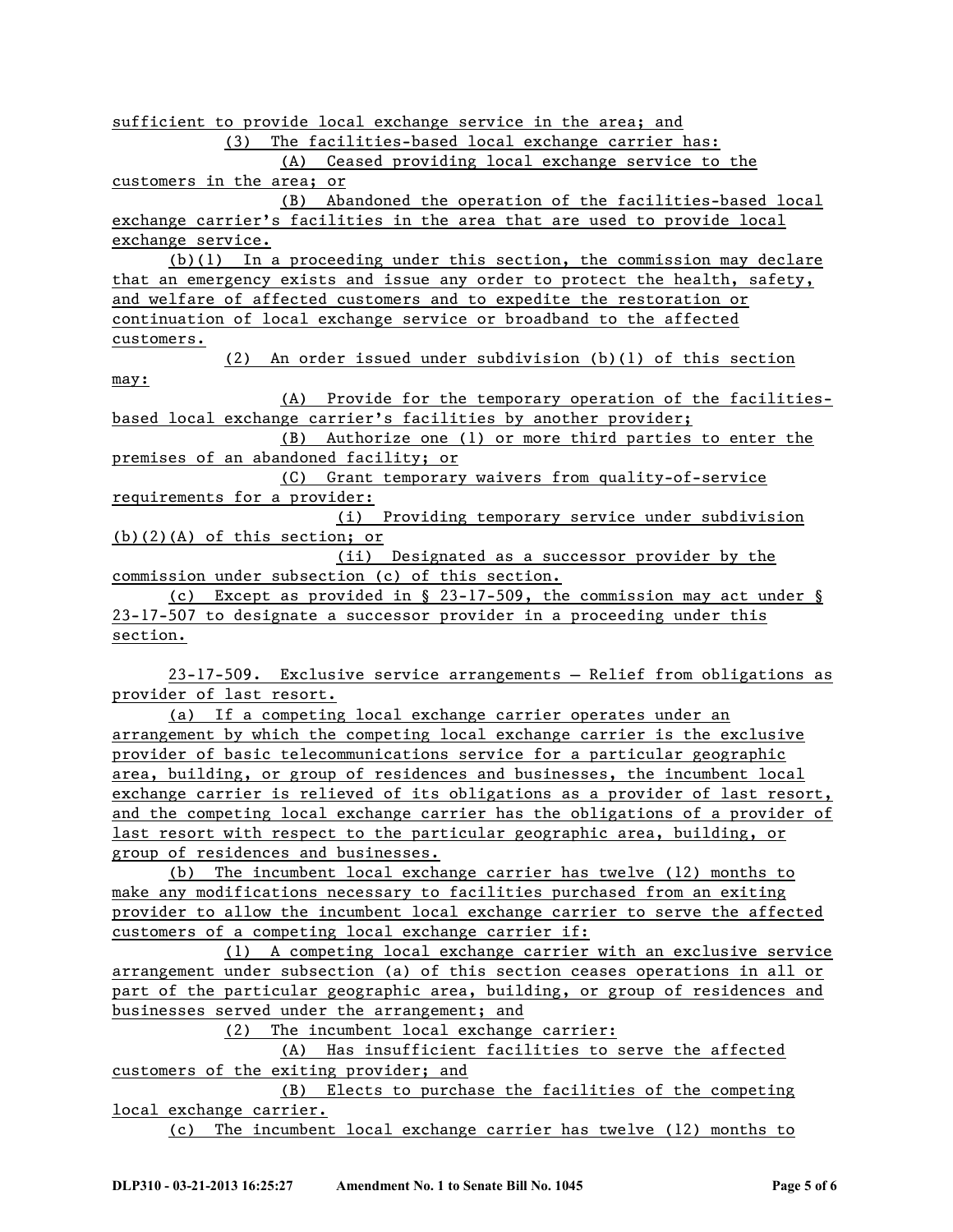sufficient to provide local exchange service in the area; and (3) The facilities-based local exchange carrier has: (A) Ceased providing local exchange service to the customers in the area; or (B) Abandoned the operation of the facilities-based local exchange carrier's facilities in the area that are used to provide local exchange service. (b)(1) In a proceeding under this section, the commission may declare that an emergency exists and issue any order to protect the health, safety, and welfare of affected customers and to expedite the restoration or continuation of local exchange service or broadband to the affected customers. (2) An order issued under subdivision (b)(1) of this section may: (A) Provide for the temporary operation of the facilitiesbased local exchange carrier's facilities by another provider; (B) Authorize one (1) or more third parties to enter the premises of an abandoned facility; or (C) Grant temporary waivers from quality-of-service requirements for a provider: (i) Providing temporary service under subdivision (b)(2)(A) of this section; or (ii) Designated as a successor provider by the commission under subsection (c) of this section. (c) Except as provided in § 23-17-509, the commission may act under § 23-17-507 to designate a successor provider in a proceeding under this section.

23-17-509. Exclusive service arrangements — Relief from obligations as provider of last resort.

(a) If a competing local exchange carrier operates under an arrangement by which the competing local exchange carrier is the exclusive provider of basic telecommunications service for a particular geographic area, building, or group of residences and businesses, the incumbent local exchange carrier is relieved of its obligations as a provider of last resort, and the competing local exchange carrier has the obligations of a provider of last resort with respect to the particular geographic area, building, or group of residences and businesses.

(b) The incumbent local exchange carrier has twelve (12) months to make any modifications necessary to facilities purchased from an exiting provider to allow the incumbent local exchange carrier to serve the affected customers of a competing local exchange carrier if:

(1) A competing local exchange carrier with an exclusive service arrangement under subsection (a) of this section ceases operations in all or part of the particular geographic area, building, or group of residences and businesses served under the arrangement; and

(2) The incumbent local exchange carrier:

(A) Has insufficient facilities to serve the affected customers of the exiting provider; and

(B) Elects to purchase the facilities of the competing local exchange carrier.

(c) The incumbent local exchange carrier has twelve (12) months to